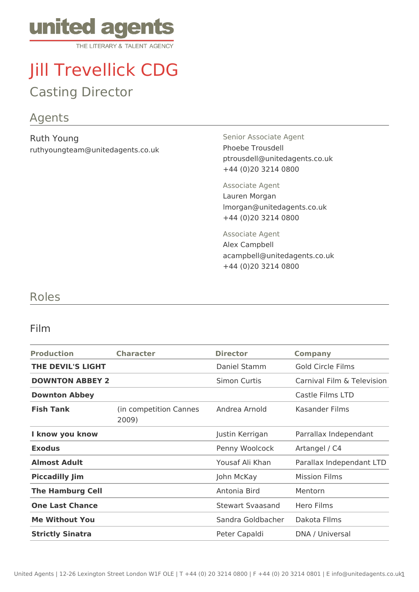

# Jill Trevellick CDG

## Casting Director

#### Agents

Ruth Young ruthyoungteam@unitedagents.co.uk Senior Associate Agent Phoebe Trousdell ptrousdell@unitedagents.co.uk +44 (0)20 3214 0800

Associate Agent Lauren Morgan lmorgan@unitedagents.co.uk +44 (0)20 3214 0800

Associate Agent Alex Campbell acampbell@unitedagents.co.uk +44 (0)20 3214 0800

#### Roles

#### Film

| <b>Production</b>        | <b>Character</b>                | <b>Director</b>     | <b>Company</b>             |
|--------------------------|---------------------------------|---------------------|----------------------------|
| <b>THE DEVIL'S LIGHT</b> |                                 | Daniel Stamm        | Gold Circle Films          |
| <b>DOWNTON ABBEY 2</b>   |                                 | <b>Simon Curtis</b> | Carnival Film & Television |
| <b>Downton Abbey</b>     |                                 |                     | Castle Films LTD           |
| <b>Fish Tank</b>         | (in competition Cannes<br>2009) | Andrea Arnold       | Kasander Films             |
| I know you know          |                                 | Justin Kerrigan     | Parrallax Independant      |
| <b>Exodus</b>            |                                 | Penny Woolcock      | Artangel / C4              |
| <b>Almost Adult</b>      |                                 | Yousaf Ali Khan     | Parallax Independant LTD   |
| <b>Piccadilly Jim</b>    |                                 | John McKay          | <b>Mission Films</b>       |
| <b>The Hamburg Cell</b>  |                                 | Antonia Bird        | Mentorn                    |
| <b>One Last Chance</b>   |                                 | Stewart Syaasand    | Hero Films                 |
| <b>Me Without You</b>    |                                 | Sandra Goldbacher   | Dakota Films               |
| <b>Strictly Sinatra</b>  |                                 | Peter Capaldi       | DNA / Universal            |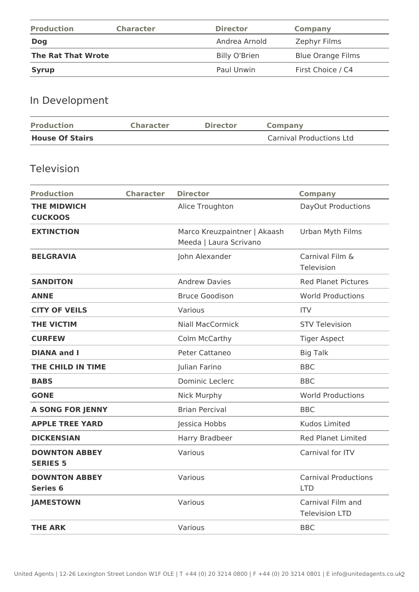| <b>Production</b>         | <b>Character</b> | <b>Director</b>      | Company                  |
|---------------------------|------------------|----------------------|--------------------------|
| <b>Dog</b>                |                  | Andrea Arnold        | Zephyr Films             |
| <b>The Rat That Wrote</b> |                  | <b>Billy O'Brien</b> | <b>Blue Orange Films</b> |
| <b>Syrup</b>              |                  | Paul Unwin           | First Choice / C4        |

### In Development

| <b>Production</b>      | <b>Character</b> | <b>Director</b> | Company                         |
|------------------------|------------------|-----------------|---------------------------------|
| <b>House Of Stairs</b> |                  |                 | <b>Carnival Productions Ltd</b> |

#### Television

| <b>Production</b>                       | <b>Character</b> | <b>Director</b>                                        | <b>Company</b>                             |
|-----------------------------------------|------------------|--------------------------------------------------------|--------------------------------------------|
| <b>THE MIDWICH</b><br><b>CUCKOOS</b>    |                  | Alice Troughton                                        | DayOut Productions                         |
| <b>EXTINCTION</b>                       |                  | Marco Kreuzpaintner   Akaash<br>Meeda   Laura Scrivano | Urban Myth Films                           |
| <b>BELGRAVIA</b>                        |                  | John Alexander                                         | Carnival Film &<br>Television              |
| <b>SANDITON</b>                         |                  | <b>Andrew Davies</b>                                   | <b>Red Planet Pictures</b>                 |
| <b>ANNE</b>                             |                  | <b>Bruce Goodison</b>                                  | <b>World Productions</b>                   |
| <b>CITY OF VEILS</b>                    |                  | Various                                                | <b>ITV</b>                                 |
| <b>THE VICTIM</b>                       |                  | <b>Niall MacCormick</b>                                | <b>STV Television</b>                      |
| <b>CURFEW</b>                           |                  | Colm McCarthy                                          | <b>Tiger Aspect</b>                        |
| <b>DIANA and I</b>                      |                  | Peter Cattaneo                                         | <b>Big Talk</b>                            |
| THE CHILD IN TIME                       |                  | Julian Farino                                          | <b>BBC</b>                                 |
| <b>BABS</b>                             |                  | <b>Dominic Leclerc</b>                                 | <b>BBC</b>                                 |
| <b>GONE</b>                             |                  | <b>Nick Murphy</b>                                     | <b>World Productions</b>                   |
| <b>A SONG FOR JENNY</b>                 |                  | <b>Brian Percival</b>                                  | <b>BBC</b>                                 |
| <b>APPLE TREE YARD</b>                  |                  | Jessica Hobbs                                          | <b>Kudos Limited</b>                       |
| <b>DICKENSIAN</b>                       |                  | Harry Bradbeer                                         | <b>Red Planet Limited</b>                  |
| <b>DOWNTON ABBEY</b><br><b>SERIES 5</b> |                  | Various                                                | Carnival for ITV                           |
| <b>DOWNTON ABBEY</b><br><b>Series 6</b> |                  | Various                                                | <b>Carnival Productions</b><br><b>LTD</b>  |
| <b>JAMESTOWN</b>                        |                  | Various                                                | Carnival Film and<br><b>Television LTD</b> |
| <b>THE ARK</b>                          |                  | Various                                                | <b>BBC</b>                                 |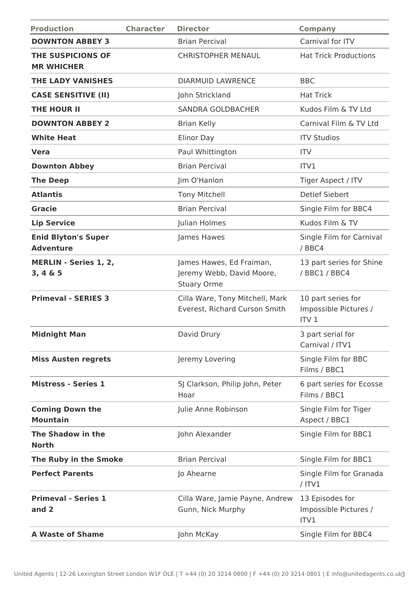| <b>Production</b>                              | <b>Character</b> | <b>Director</b>                                                             | <b>Company</b>                                                  |
|------------------------------------------------|------------------|-----------------------------------------------------------------------------|-----------------------------------------------------------------|
| <b>DOWNTON ABBEY 3</b>                         |                  | <b>Brian Percival</b>                                                       | Carnival for ITV                                                |
| THE SUSPICIONS OF<br><b>MR WHICHER</b>         |                  | <b>CHRISTOPHER MENAUL</b>                                                   | <b>Hat Trick Productions</b>                                    |
| <b>THE LADY VANISHES</b>                       |                  | <b>DIARMUID LAWRENCE</b>                                                    | <b>BBC</b>                                                      |
| <b>CASE SENSITIVE (II)</b>                     |                  | John Strickland                                                             | <b>Hat Trick</b>                                                |
| <b>THE HOUR II</b>                             |                  | <b>SANDRA GOLDBACHER</b>                                                    | Kudos Film & TV Ltd                                             |
| <b>DOWNTON ABBEY 2</b>                         |                  | <b>Brian Kelly</b>                                                          | Carnival Film & TV Ltd                                          |
| <b>White Heat</b>                              |                  | <b>Elinor Day</b>                                                           | <b>ITV Studios</b>                                              |
| <b>Vera</b>                                    |                  | Paul Whittington                                                            | <b>ITV</b>                                                      |
| <b>Downton Abbey</b>                           |                  | <b>Brian Percival</b>                                                       | ITV1                                                            |
| <b>The Deep</b>                                |                  | Jim O'Hanlon                                                                | Tiger Aspect / ITV                                              |
| <b>Atlantis</b>                                |                  | <b>Tony Mitchell</b>                                                        | <b>Detlef Siebert</b>                                           |
| <b>Gracie</b>                                  |                  | <b>Brian Percival</b>                                                       | Single Film for BBC4                                            |
| <b>Lip Service</b>                             |                  | Julian Holmes                                                               | Kudos Film & TV                                                 |
| <b>Enid Blyton's Super</b><br><b>Adventure</b> |                  | James Hawes                                                                 | Single Film for Carnival<br>/BBC4                               |
| <b>MERLIN - Series 1, 2,</b><br>3, 4 & 5       |                  | James Hawes, Ed Fraiman,<br>Jeremy Webb, David Moore,<br><b>Stuary Orme</b> | 13 part series for Shine<br>/ BBC1 / BBC4                       |
| <b>Primeval - SERIES 3</b>                     |                  | Cilla Ware, Tony Mitchell, Mark<br>Everest, Richard Curson Smith            | 10 part series for<br>Impossible Pictures /<br>ITV <sub>1</sub> |
| <b>Midnight Man</b>                            |                  | David Drury                                                                 | 3 part serial for<br>Carnival / ITV1                            |
| <b>Miss Austen regrets</b>                     |                  | Jeremy Lovering                                                             | Single Film for BBC<br>Films / BBC1                             |
| <b>Mistress - Series 1</b>                     |                  | SJ Clarkson, Philip John, Peter<br>Hoar                                     | 6 part series for Ecosse<br>Films / BBC1                        |
| <b>Coming Down the</b><br><b>Mountain</b>      |                  | Julie Anne Robinson                                                         | Single Film for Tiger<br>Aspect / BBC1                          |
| The Shadow in the<br><b>North</b>              |                  | John Alexander                                                              | Single Film for BBC1                                            |
| The Ruby in the Smoke                          |                  | <b>Brian Percival</b>                                                       | Single Film for BBC1                                            |
| <b>Perfect Parents</b>                         |                  | Jo Ahearne                                                                  | Single Film for Granada<br>$/$ ITV1                             |
| <b>Primeval - Series 1</b><br>and 2            |                  | Cilla Ware, Jamie Payne, Andrew<br>Gunn, Nick Murphy                        | 13 Episodes for<br>Impossible Pictures /<br>ITV1                |
| <b>A Waste of Shame</b>                        |                  | John McKay                                                                  | Single Film for BBC4                                            |